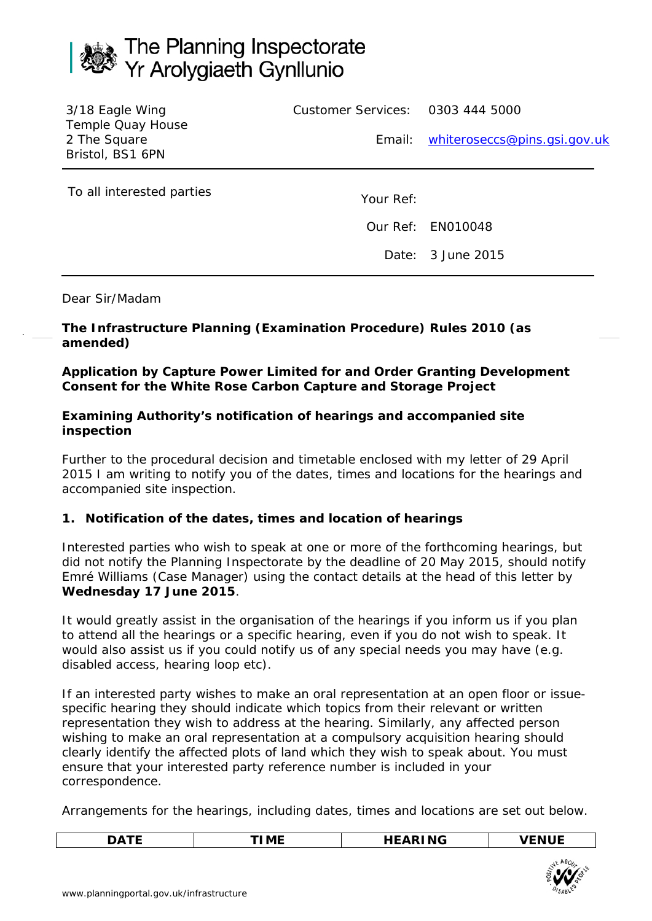# The Planning Inspectorate<br>Yr Arolygiaeth Gynllunio

| 3/18 Eagle Wing<br>Temple Quay House | Customer Services: 0303 444 5000 |                                     |  |
|--------------------------------------|----------------------------------|-------------------------------------|--|
| 2 The Square<br>Bristol, BS1 6PN     |                                  | Email: whiteroseccs@pins.gsi.gov.uk |  |
| To all interested parties            | Your Ref:                        |                                     |  |

Our Ref: EN010048

Date: 3 June 2015

Dear Sir/Madam

# **The Infrastructure Planning (Examination Procedure) Rules 2010 (as amended)**

# **Application by Capture Power Limited for and Order Granting Development Consent for the White Rose Carbon Capture and Storage Project**

### **Examining Authority's notification of hearings and accompanied site inspection**

Further to the procedural decision and timetable enclosed with my letter of 29 April 2015 I am writing to notify you of the dates, times and locations for the hearings and accompanied site inspection.

# **1. Notification of the dates, times and location of hearings**

Interested parties who wish to speak at one or more of the forthcoming hearings, but did not notify the Planning Inspectorate by the deadline of 20 May 2015, should notify Emré Williams (Case Manager) using the contact details at the head of this letter by **Wednesday 17 June 2015**.

It would greatly assist in the organisation of the hearings if you inform us if you plan to attend all the hearings or a specific hearing, even if you do not wish to speak. It would also assist us if you could notify us of any special needs you may have (e.g. disabled access, hearing loop etc).

If an interested party wishes to make an oral representation at an open floor or issuespecific hearing they should indicate which topics from their relevant or written representation they wish to address at the hearing. Similarly, any affected person wishing to make an oral representation at a compulsory acquisition hearing should clearly identify the affected plots of land which they wish to speak about. You must ensure that your interested party reference number is included in your correspondence.

Arrangements for the hearings, including dates, times and locations are set out below.

|  |  | -- |  |
|--|--|----|--|
|--|--|----|--|

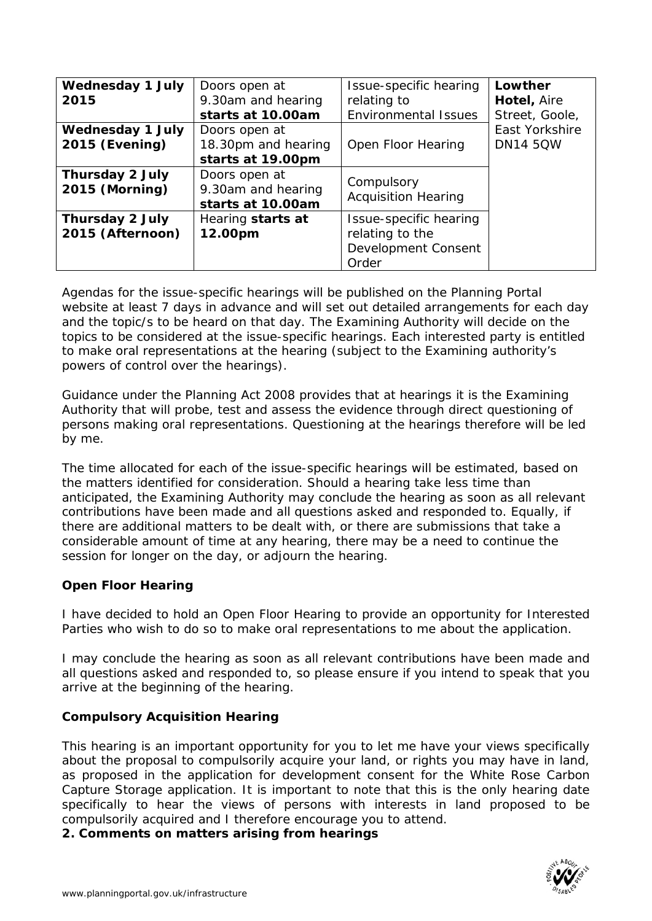| <b>Wednesday 1 July</b><br>2015                  | Doors open at<br>9.30am and hearing<br>starts at 10.00am  | Issue-specific hearing<br>relating to<br><b>Environmental Issues</b>      | Lowther<br>Hotel, Aire<br>Street, Goole, |
|--------------------------------------------------|-----------------------------------------------------------|---------------------------------------------------------------------------|------------------------------------------|
| <b>Wednesday 1 July</b><br><b>2015 (Evening)</b> | Doors open at<br>18.30pm and hearing<br>starts at 19.00pm | Open Floor Hearing                                                        | East Yorkshire<br><b>DN14 5QW</b>        |
| <b>Thursday 2 July</b><br><b>2015 (Morning)</b>  | Doors open at<br>9.30am and hearing<br>starts at 10.00am  | Compulsory<br><b>Acquisition Hearing</b>                                  |                                          |
| <b>Thursday 2 July</b><br>2015 (Afternoon)       | Hearing starts at<br>12.00pm                              | Issue-specific hearing<br>relating to the<br>Development Consent<br>Order |                                          |

Agendas for the issue-specific hearings will be published on the Planning Portal website at least 7 days in advance and will set out detailed arrangements for each day and the topic/s to be heard on that day. The Examining Authority will decide on the topics to be considered at the issue-specific hearings. Each interested party is entitled to make oral representations at the hearing (subject to the Examining authority's powers of control over the hearings).

Guidance under the Planning Act 2008 provides that at hearings it is the Examining Authority that will probe, test and assess the evidence through direct questioning of persons making oral representations. Questioning at the hearings therefore will be led by me.

The time allocated for each of the issue-specific hearings will be estimated, based on the matters identified for consideration. Should a hearing take less time than anticipated, the Examining Authority may conclude the hearing as soon as all relevant contributions have been made and all questions asked and responded to. Equally, if there are additional matters to be dealt with, or there are submissions that take a considerable amount of time at any hearing, there may be a need to continue the session for longer on the day, or adjourn the hearing.

# **Open Floor Hearing**

I have decided to hold an Open Floor Hearing to provide an opportunity for Interested Parties who wish to do so to make oral representations to me about the application.

I may conclude the hearing as soon as all relevant contributions have been made and all questions asked and responded to, so please ensure if you intend to speak that you arrive at the beginning of the hearing.

#### **Compulsory Acquisition Hearing**

This hearing is an important opportunity for you to let me have your views specifically about the proposal to compulsorily acquire your land, or rights you may have in land, as proposed in the application for development consent for the White Rose Carbon Capture Storage application. It is important to note that this is the only hearing date specifically to hear the views of persons with interests in land proposed to be compulsorily acquired and I therefore encourage you to attend.

**2. Comments on matters arising from hearings**